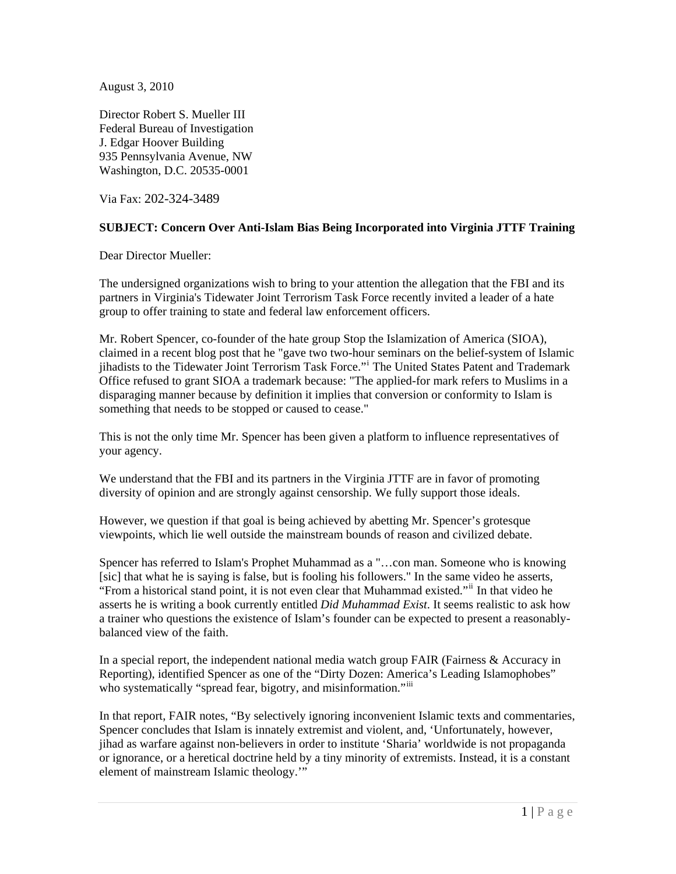August 3, 2010

Director Robert S. Mueller III Federal Bureau of Investigation J. Edgar Hoover Building 935 Pennsylvania Avenue, NW Washington, D.C. 20535-0001

Via Fax: 202-324-3489

## **SUBJECT: Concern Over Anti-Islam Bias Being Incorporated into Virginia JTTF Training**

Dear Director Mueller:

The undersigned organizations wish to bring to your attention the allegation that the FBI and its partners in Virginia's Tidewater Joint Terrorism Task Force recently invited a leader of a hate group to offer training to state and federal law enforcement officers.

Mr. Robert Spencer, co-founder of the hate group Stop the Islamization of America (SIOA), claimed in a recent blog post that he "gave two two-hour seminars on the belief-system of Islamic j[i](#page-3-0)hadists to the Tidewater Joint Terrorism Task Force." The United States Patent and Trademark Office refused to grant SIOA a trademark because: "The applied-for mark refers to Muslims in a disparaging manner because by definition it implies that conversion or conformity to Islam is something that needs to be stopped or caused to cease."

This is not the only time Mr. Spencer has been given a platform to influence representatives of your agency.

We understand that the FBI and its partners in the Virginia JTTF are in favor of promoting diversity of opinion and are strongly against censorship. We fully support those ideals.

However, we question if that goal is being achieved by abetting Mr. Spencer's grotesque viewpoints, which lie well outside the mainstream bounds of reason and civilized debate.

Spencer has referred to Islam's Prophet Muhammad as a "…con man. Someone who is knowing [sic] that what he is saying is false, but is fooling his followers." In the same video he asserts, "From a historical stand point, it is not even clear that Muhammad existed."[ii](#page-3-1) In that video he asserts he is writing a book currently entitled *Did Muhammad Exist*. It seems realistic to ask how a trainer who questions the existence of Islam's founder can be expected to present a reasonablybalanced view of the faith.

In a special report, the independent national media watch group FAIR (Fairness & Accuracy in Reporting), identified Spencer as one of the "Dirty Dozen: America's Leading Islamophobes" who systematically "spread fear, bigotry, and misinformation."<sup>[iii](#page-3-1)</sup>

In that report, FAIR notes, "By selectively ignoring inconvenient Islamic texts and commentaries, Spencer concludes that Islam is innately extremist and violent, and, 'Unfortunately, however, jihad as warfare against non-believers in order to institute 'Sharia' worldwide is not propaganda or ignorance, or a heretical doctrine held by a tiny minority of extremists. Instead, it is a constant element of mainstream Islamic theology.'"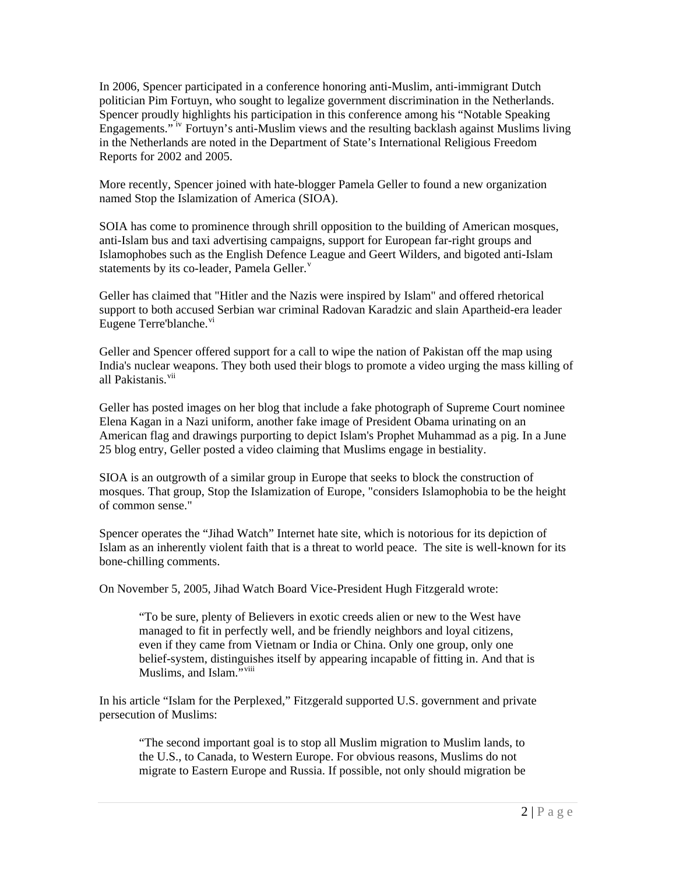In 2006, Spencer participated in a conference honoring anti-Muslim, anti-immigrant Dutch politician Pim Fortuyn, who sought to legalize government discrimination in the Netherlands. Spencer proudly highlights his participation in this conference among his "Notable Speaking Engagements." [iv](#page-3-1) Fortuyn's anti-Muslim views and the resulting backlash against Muslims living in the Netherlands are noted in the Department of State's International Religious Freedom Reports for 2002 and 2005.

More recently, Spencer joined with hate-blogger Pamela Geller to found a new organization named Stop the Islamization of America (SIOA).

SOIA has come to prominence through shrill opposition to the building of American mosques, anti-Islam bus and taxi advertising campaigns, support for European far-right groups and Islamophobes such as the English Defence League and Geert Wilders, and bigoted anti-Islam statements by its co-leader, Pamela Geller. $v$ 

Geller has claimed that "Hitler and the Nazis were inspired by Islam" and offered rhetorical support to both accused Serbian war criminal Radovan Karadzic and slain Apartheid-era leader Eugene Terre'blanche.<sup>[vi](#page-3-1)</sup>

Geller and Spencer offered support for a call to wipe the nation of Pakistan off the map using India's nuclear weapons. They both used their blogs to promote a video urging the mass killing of all Pakistanis.<sup>[vii](#page-3-1)</sup>

Geller has posted images on her blog that include a fake photograph of Supreme Court nominee Elena Kagan in a Nazi uniform, another fake image of President Obama urinating on an American flag and drawings purporting to depict Islam's Prophet Muhammad as a pig. In a June 25 blog entry, Geller posted a video claiming that Muslims engage in bestiality.

SIOA is an outgrowth of a similar group in Europe that seeks to block the construction of mosques. That group, Stop the Islamization of Europe, "considers Islamophobia to be the height of common sense."

Spencer operates the "Jihad Watch" Internet hate site, which is notorious for its depiction of Islam as an inherently violent faith that is a threat to world peace. The site is well-known for its bone-chilling comments.

On November 5, 2005, Jihad Watch Board Vice-President Hugh Fitzgerald wrote:

"To be sure, plenty of Believers in exotic creeds alien or new to the West have managed to fit in perfectly well, and be friendly neighbors and loyal citizens, even if they came from Vietnam or India or China. Only one group, only one belief-system, distinguishes itself by appearing incapable of fitting in. And that is Muslims, and Islam."<sup>[viii](#page-3-1)</sup>

In his article "Islam for the Perplexed," Fitzgerald supported U.S. government and private persecution of Muslims:

"The second important goal is to stop all Muslim migration to Muslim lands, to the U.S., to Canada, to Western Europe. For obvious reasons, Muslims do not migrate to Eastern Europe and Russia. If possible, not only should migration be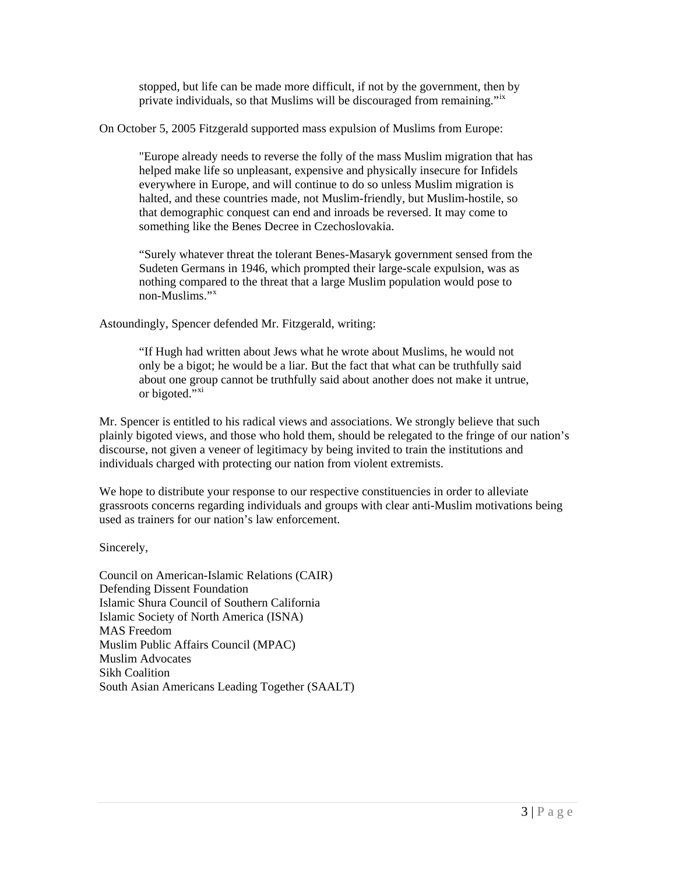stopped, but life can be made more difficult, if not by the government, then by private individuals, so that Muslims will be discouraged from remaining."<sup>[ix](#page-3-1)</sup>

On October 5, 2005 Fitzgerald supported mass expulsion of Muslims from Europe:

"Europe already needs to reverse the folly of the mass Muslim migration that has helped make life so unpleasant, expensive and physically insecure for Infidels everywhere in Europe, and will continue to do so unless Muslim migration is halted, and these countries made, not Muslim-friendly, but Muslim-hostile, so that demographic conquest can end and inroads be reversed. It may come to something like the Benes Decree in Czechoslovakia.

"Surely whatever threat the tolerant Benes-Masaryk government sensed from the Sudeten Germans in 1946, which prompted their large-scale expulsion, was as nothing compared to the threat that a large Muslim population would pose to non-Muslims."[x](#page-3-1)

Astoundingly, Spencer defended Mr. Fitzgerald, writing:

"If Hugh had written about Jews what he wrote about Muslims, he would not only be a bigot; he would be a liar. But the fact that what can be truthfully said about one group cannot be truthfully said about another does not make it untrue, or bigoted."<sup>[xi](#page-3-1)</sup>

Mr. Spencer is entitled to his radical views and associations. We strongly believe that such plainly bigoted views, and those who hold them, should be relegated to the fringe of our nation's discourse, not given a veneer of legitimacy by being invited to train the institutions and individuals charged with protecting our nation from violent extremists.

We hope to distribute your response to our respective constituencies in order to alleviate grassroots concerns regarding individuals and groups with clear anti-Muslim motivations being used as trainers for our nation's law enforcement.

Sincerely,

Council on American-Islamic Relations (CAIR) Defending Dissent Foundation Islamic Shura Council of Southern California Islamic Society of North America (ISNA) MAS Freedom Muslim Public Affairs Council (MPAC) Muslim Advocates Sikh Coalition South Asian Americans Leading Together (SAALT)